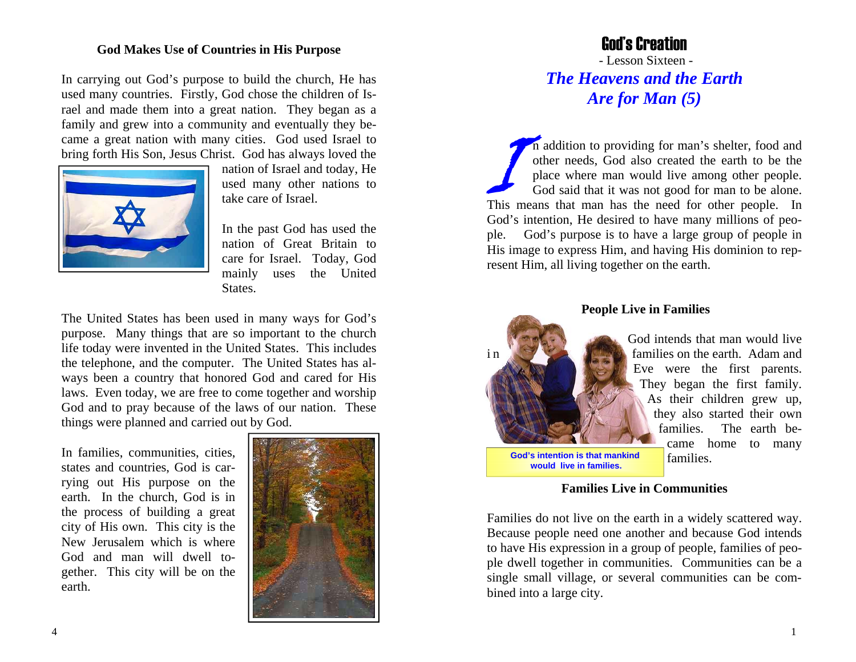### **God Makes Use of Countries in His Purpose**

In carrying out God's purpose to build the church, He has used many countries. Firstly, God chose the children of Israel and made them into a great nation. They began as a family and grew into a community and eventually they became a great nation with many cities. God used Israel to bring forth His Son, Jesus Christ. God has always loved the



nation of Israel and today, He used many other nations to take care of Israel.

In the past God has used the nation of Great Britain to care for Israel. Today, God mainly uses the United States.

The United States has been used in many ways for God's purpose. Many things that are so important to the church life today were invented in the United States. This includes the telephone, and the computer. The United States has always been a country that honored God and cared for His laws. Even today, we are free to come together and worship God and to pray because of the laws of our nation. These things were planned and carried out by God.

In families, communities, cities, states and countries, God is carrying out His purpose on the earth. In the church, God is in the process of building a great city of His own. This city is the New Jerusalem which is where God and man will dwell together. This city will be on the earth.



## God's Creation

 - Lesson Sixteen - *The Heavens and the Earth Are for Man (5)* 

In addition to providing for man's shelter, food and other needs, God also created the earth to be the place where man would live among other people. God said that it was not good for man to be alone. This means that man has the need for other people. In God's intention, He desired to have many millions of people. God's purpose is to have a large group of people in His image to express Him, and having His dominion to represent Him, all living together on the earth.



**People Live in Families** 

God intends that man would live in **families on the earth.** Adam and Eve were the first parents. They began the first family. As their children grew up, they also started their own families. The earth became home to many families.

**Families Live in Communities** 

Families do not live on the earth in a widely scattered way. Because people need one another and because God intends to have His expression in a group of people, families of people dwell together in communities. Communities can be a single small village, or several communities can be combined into a large city.